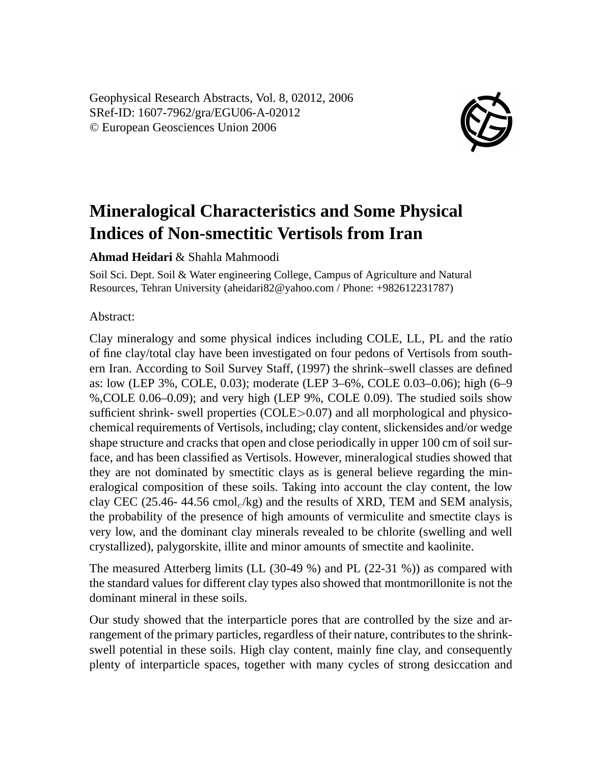Geophysical Research Abstracts, Vol. 8, 02012, 2006 SRef-ID: 1607-7962/gra/EGU06-A-02012 © European Geosciences Union 2006



## **Mineralogical Characteristics and Some Physical Indices of Non-smectitic Vertisols from Iran**

## **Ahmad Heidari** & Shahla Mahmoodi

Soil Sci. Dept. Soil & Water engineering College, Campus of Agriculture and Natural Resources, Tehran University (aheidari82@yahoo.com / Phone: +982612231787)

## Abstract:

Clay mineralogy and some physical indices including COLE, LL, PL and the ratio of fine clay/total clay have been investigated on four pedons of Vertisols from southern Iran. According to Soil Survey Staff, (1997) the shrink–swell classes are defined as: low (LEP 3%, COLE, 0.03); moderate (LEP 3–6%, COLE 0.03–0.06); high (6–9 %,COLE 0.06–0.09); and very high (LEP 9%, COLE 0.09). The studied soils show sufficient shrink- swell properties  $(COLE > 0.07)$  and all morphological and physicochemical requirements of Vertisols, including; clay content, slickensides and/or wedge shape structure and cracks that open and close periodically in upper 100 cm of soil surface, and has been classified as Vertisols. However, mineralogical studies showed that they are not dominated by smectitic clays as is general believe regarding the mineralogical composition of these soils. Taking into account the clay content, the low clay CEC (25.46-44.56 cmol<sub>c</sub>/kg) and the results of XRD, TEM and SEM analysis, the probability of the presence of high amounts of vermiculite and smectite clays is very low, and the dominant clay minerals revealed to be chlorite (swelling and well crystallized), palygorskite, illite and minor amounts of smectite and kaolinite.

The measured Atterberg limits (LL (30-49 %) and PL (22-31 %)) as compared with the standard values for different clay types also showed that montmorillonite is not the dominant mineral in these soils.

Our study showed that the interparticle pores that are controlled by the size and arrangement of the primary particles, regardless of their nature, contributes to the shrinkswell potential in these soils. High clay content, mainly fine clay, and consequently plenty of interparticle spaces, together with many cycles of strong desiccation and